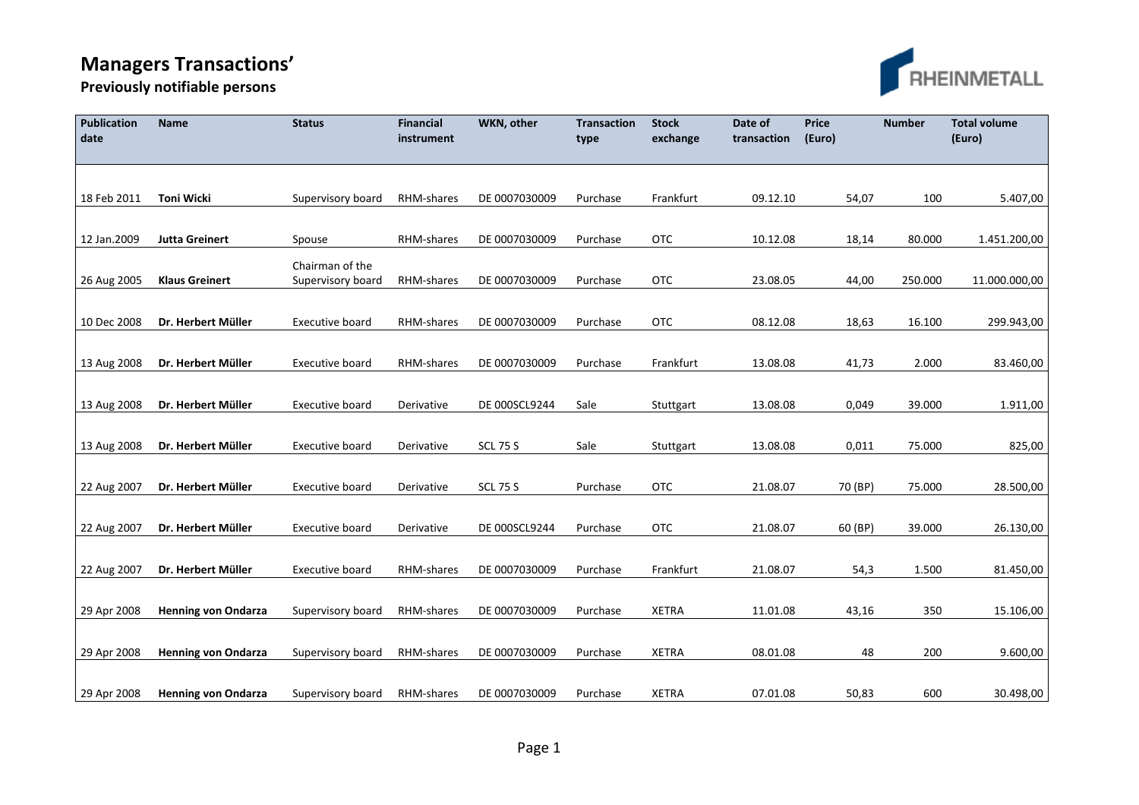## **Managers Transactions'**



**Previously notifiable persons** 

| Publication<br>date | <b>Name</b>                | <b>Status</b>                        | Financial<br>instrument | WKN, other      | <b>Transaction</b><br>type | <b>Stock</b><br>exchange | Date of<br>transaction | <b>Price</b><br>(Euro) | <b>Number</b> | <b>Total volume</b><br>(Euro) |
|---------------------|----------------------------|--------------------------------------|-------------------------|-----------------|----------------------------|--------------------------|------------------------|------------------------|---------------|-------------------------------|
|                     |                            |                                      |                         |                 |                            |                          |                        |                        |               |                               |
| 18 Feb 2011         | Toni Wicki                 | Supervisory board                    | RHM-shares              | DE 0007030009   | Purchase                   | Frankfurt                | 09.12.10               | 54,07                  | 100           | 5.407,00                      |
| 12 Jan.2009         | <b>Jutta Greinert</b>      | Spouse                               | RHM-shares              | DE 0007030009   | Purchase                   | <b>OTC</b>               | 10.12.08               | 18,14                  | 80.000        | 1.451.200,00                  |
| 26 Aug 2005         | <b>Klaus Greinert</b>      | Chairman of the<br>Supervisory board | RHM-shares              | DE 0007030009   | Purchase                   | <b>OTC</b>               | 23.08.05               | 44,00                  | 250.000       | 11.000.000,00                 |
|                     |                            |                                      |                         |                 |                            |                          |                        |                        |               |                               |
| 10 Dec 2008         | Dr. Herbert Müller         | Executive board                      | RHM-shares              | DE 0007030009   | Purchase                   | <b>OTC</b>               | 08.12.08               | 18,63                  | 16.100        | 299.943,00                    |
| 13 Aug 2008         | Dr. Herbert Müller         | Executive board                      | RHM-shares              | DE 0007030009   | Purchase                   | Frankfurt                | 13.08.08               | 41,73                  | 2.000         | 83.460,00                     |
| 13 Aug 2008         | Dr. Herbert Müller         | Executive board                      | Derivative              | DE 000SCL9244   | Sale                       | Stuttgart                | 13.08.08               | 0,049                  | 39.000        | 1.911,00                      |
| 13 Aug 2008         | Dr. Herbert Müller         | Executive board                      | Derivative              | <b>SCL 75 S</b> | Sale                       | Stuttgart                | 13.08.08               | 0,011                  | 75.000        | 825,00                        |
|                     |                            |                                      |                         |                 |                            |                          |                        |                        |               |                               |
| 22 Aug 2007         | Dr. Herbert Müller         | <b>Executive board</b>               | Derivative              | <b>SCL 75 S</b> | Purchase                   | <b>OTC</b>               | 21.08.07               | 70 (BP)                | 75.000        | 28.500,00                     |
| 22 Aug 2007         | Dr. Herbert Müller         | Executive board                      | Derivative              | DE 000SCL9244   | Purchase                   | <b>OTC</b>               | 21.08.07               | 60 (BP)                | 39.000        | 26.130,00                     |
| 22 Aug 2007         | Dr. Herbert Müller         | Executive board                      | RHM-shares              | DE 0007030009   | Purchase                   | Frankfurt                | 21.08.07               | 54,3                   | 1.500         | 81.450,00                     |
|                     |                            |                                      |                         |                 |                            |                          |                        |                        |               |                               |
| 29 Apr 2008         | <b>Henning von Ondarza</b> | Supervisory board                    | RHM-shares              | DE 0007030009   | Purchase                   | <b>XETRA</b>             | 11.01.08               | 43,16                  | 350           | 15.106,00                     |
| 29 Apr 2008         | <b>Henning von Ondarza</b> | Supervisory board                    | RHM-shares              | DE 0007030009   | Purchase                   | <b>XETRA</b>             | 08.01.08               | 48                     | 200           | 9.600,00                      |
| 29 Apr 2008         | <b>Henning von Ondarza</b> | Supervisory board                    | RHM-shares              | DE 0007030009   | Purchase                   | <b>XETRA</b>             | 07.01.08               | 50,83                  | 600           | 30.498,00                     |
|                     |                            |                                      |                         |                 |                            |                          |                        |                        |               |                               |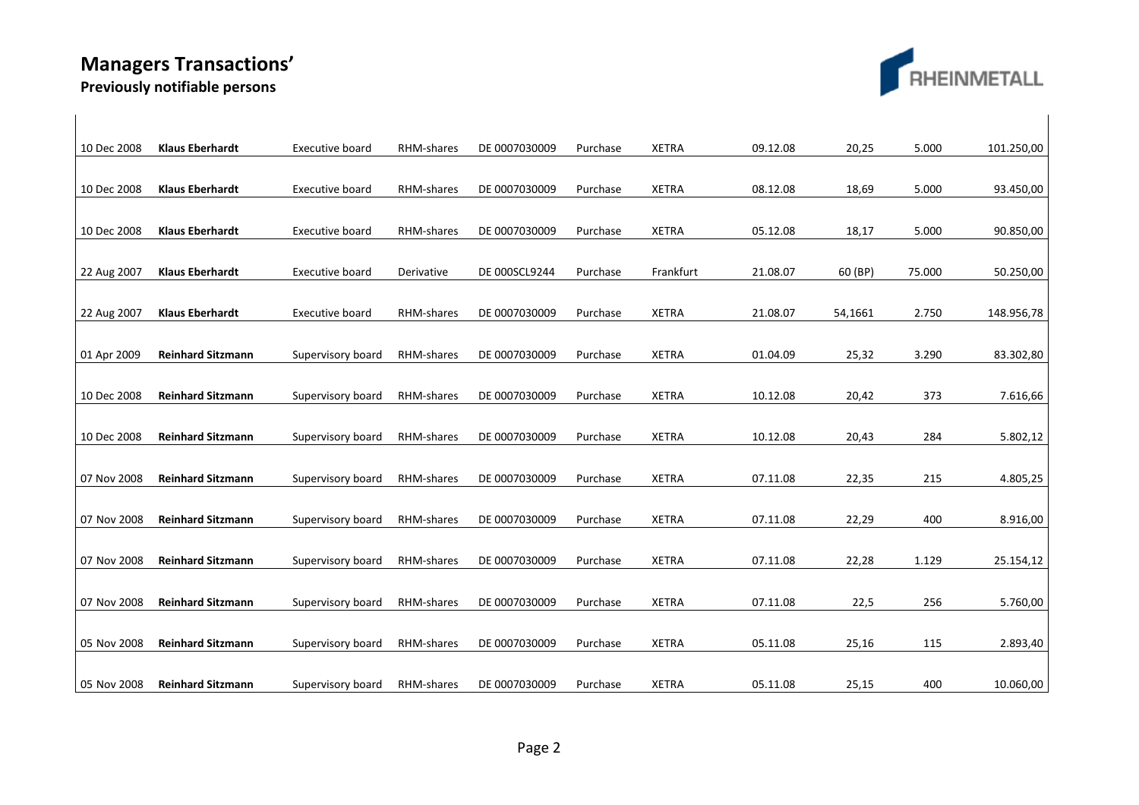## **Managers Transactions'**



**Previously notifiable persons** 

| 10 Dec 2008 | <b>Klaus Eberhardt</b>   | Executive board        | RHM-shares | DE 0007030009 | Purchase | <b>XETRA</b> | 09.12.08 | 20,25   | 5.000  | 101.250,00 |
|-------------|--------------------------|------------------------|------------|---------------|----------|--------------|----------|---------|--------|------------|
|             |                          |                        |            |               |          |              |          |         |        |            |
| 10 Dec 2008 | <b>Klaus Eberhardt</b>   | Executive board        | RHM-shares | DE 0007030009 | Purchase | <b>XETRA</b> | 08.12.08 | 18,69   | 5.000  | 93.450,00  |
|             |                          |                        |            |               |          |              |          |         |        |            |
| 10 Dec 2008 | <b>Klaus Eberhardt</b>   | <b>Executive board</b> | RHM-shares | DE 0007030009 | Purchase | <b>XETRA</b> | 05.12.08 | 18,17   | 5.000  | 90.850,00  |
|             |                          |                        |            |               |          |              |          |         |        |            |
| 22 Aug 2007 | <b>Klaus Eberhardt</b>   | Executive board        | Derivative | DE 000SCL9244 | Purchase | Frankfurt    | 21.08.07 | 60 (BP) | 75.000 | 50.250,00  |
|             |                          |                        |            |               |          |              |          |         |        |            |
| 22 Aug 2007 | <b>Klaus Eberhardt</b>   | Executive board        | RHM-shares | DE 0007030009 | Purchase | <b>XETRA</b> | 21.08.07 | 54,1661 | 2.750  | 148.956,78 |
|             |                          |                        |            |               |          |              |          |         |        |            |
| 01 Apr 2009 | <b>Reinhard Sitzmann</b> | Supervisory board      | RHM-shares | DE 0007030009 | Purchase | <b>XETRA</b> | 01.04.09 | 25,32   | 3.290  | 83.302,80  |
|             |                          |                        |            |               |          |              |          |         |        |            |
| 10 Dec 2008 | <b>Reinhard Sitzmann</b> | Supervisory board      | RHM-shares | DE 0007030009 | Purchase | <b>XETRA</b> | 10.12.08 | 20,42   | 373    | 7.616,66   |
|             |                          |                        |            |               |          |              |          |         |        |            |
| 10 Dec 2008 | <b>Reinhard Sitzmann</b> | Supervisory board      | RHM-shares | DE 0007030009 | Purchase | <b>XETRA</b> | 10.12.08 | 20,43   | 284    | 5.802,12   |
|             |                          |                        |            |               |          |              |          |         |        |            |
| 07 Nov 2008 | <b>Reinhard Sitzmann</b> | Supervisory board      | RHM-shares | DE 0007030009 | Purchase | <b>XETRA</b> | 07.11.08 | 22,35   | 215    | 4.805,25   |
|             |                          |                        |            |               |          |              |          |         |        |            |
| 07 Nov 2008 | <b>Reinhard Sitzmann</b> | Supervisory board      | RHM-shares | DE 0007030009 | Purchase | <b>XETRA</b> | 07.11.08 | 22,29   | 400    | 8.916,00   |
|             |                          |                        |            |               |          |              |          |         |        |            |
| 07 Nov 2008 | <b>Reinhard Sitzmann</b> | Supervisory board      | RHM-shares | DE 0007030009 | Purchase | <b>XETRA</b> | 07.11.08 | 22,28   | 1.129  | 25.154,12  |
|             |                          |                        |            |               |          |              |          |         |        |            |
| 07 Nov 2008 | <b>Reinhard Sitzmann</b> | Supervisory board      | RHM-shares | DE 0007030009 | Purchase | <b>XETRA</b> | 07.11.08 | 22,5    | 256    | 5.760,00   |
|             |                          |                        |            |               |          |              |          |         |        |            |
| 05 Nov 2008 | <b>Reinhard Sitzmann</b> | Supervisory board      | RHM-shares | DE 0007030009 | Purchase | <b>XETRA</b> | 05.11.08 | 25,16   | 115    | 2.893,40   |
|             |                          |                        |            |               |          |              |          |         |        |            |
| 05 Nov 2008 | <b>Reinhard Sitzmann</b> | Supervisory board      | RHM-shares | DE 0007030009 | Purchase | <b>XETRA</b> | 05.11.08 | 25,15   | 400    | 10.060,00  |
|             |                          |                        |            |               |          |              |          |         |        |            |